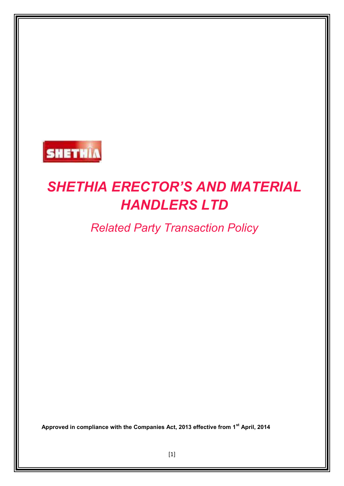

# *SHETHIA ERECTOR'S AND MATERIAL HANDLERS LTD*

*Related Party Transaction Policy*

**Approved in compliance with the Companies Act, 2013 effective from 1st April, 2014**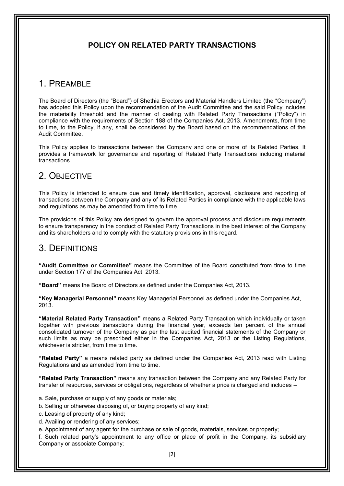## **POLICY ON RELATED PARTY TRANSACTIONS**

# 1. PREAMBLE

The Board of Directors (the "Board") of Shethia Erectors and Material Handlers Limited (the "Company") has adopted this Policy upon the recommendation of the Audit Committee and the said Policy includes the materiality threshold and the manner of dealing with Related Party Transactions ("Policy") in compliance with the requirements of Section 188 of the Companies Act, 2013. Amendments, from time to time, to the Policy, if any, shall be considered by the Board based on the recommendations of the Audit Committee.

This Policy applies to transactions between the Company and one or more of its Related Parties. It provides a framework for governance and reporting of Related Party Transactions including material transactions.

# 2. OBJECTIVE

This Policy is intended to ensure due and timely identification, approval, disclosure and reporting of transactions between the Company and any of its Related Parties in compliance with the applicable laws and regulations as may be amended from time to time.

The provisions of this Policy are designed to govern the approval process and disclosure requirements to ensure transparency in the conduct of Related Party Transactions in the best interest of the Company and its shareholders and to comply with the statutory provisions in this regard.

## 3. DEFINITIONS

**"Audit Committee or Committee"** means the Committee of the Board constituted from time to time under Section 177 of the Companies Act, 2013.

**"Board"** means the Board of Directors as defined under the Companies Act, 2013.

**"Key Managerial Personnel"** means Key Managerial Personnel as defined under the Companies Act, 2013.

**"Material Related Party Transaction"** means a Related Party Transaction which individually or taken together with previous transactions during the financial year, exceeds ten percent of the annual consolidated turnover of the Company as per the last audited financial statements of the Company or such limits as may be prescribed either in the Companies Act, 2013 or the Listing Regulations, whichever is stricter, from time to time.

**"Related Party"** a means related party as defined under the Companies Act, 2013 read with Listing Regulations and as amended from time to time.

**"Related Party Transaction"** means any transaction between the Company and any Related Party for transfer of resources, services or obligations, regardless of whether a price is charged and includes –

- a. Sale, purchase or supply of any goods or materials;
- b. Selling or otherwise disposing of, or buying property of any kind;
- c. Leasing of property of any kind;
- d. Availing or rendering of any services;
- e. Appointment of any agent for the purchase or sale of goods, materials, services or property;

f. Such related party's appointment to any office or place of profit in the Company, its subsidiary Company or associate Company;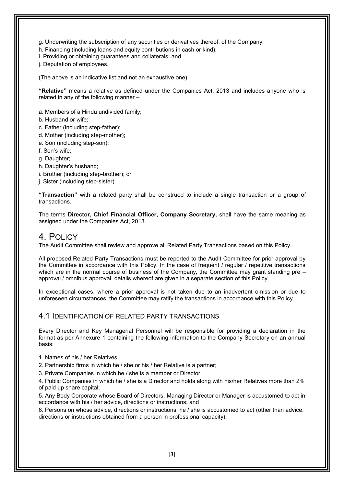g. Underwriting the subscription of any securities or derivatives thereof, of the Company;

h. Financing (including loans and equity contributions in cash or kind);

i. Providing or obtaining guarantees and collaterals; and

j. Deputation of employees.

(The above is an indicative list and not an exhaustive one).

**"Relative"** means a relative as defined under the Companies Act, 2013 and includes anyone who is related in any of the following manner –

a. Members of a Hindu undivided family;

b. Husband or wife;

- c. Father (including step-father);
- d. Mother (including step-mother);
- e. Son (including step-son);
- f. Son's wife;

g. Daughter;

- h. Daughter's husband;
- i. Brother (including step-brother); or
- j. Sister (including step-sister).

**"Transaction"** with a related party shall be construed to include a single transaction or a group of transactions.

The terms **Director, Chief Financial Officer, Company Secretary,** shall have the same meaning as assigned under the Companies Act, 2013.

## 4. POLICY

The Audit Committee shall review and approve all Related Party Transactions based on this Policy.

All proposed Related Party Transactions must be reported to the Audit Committee for prior approval by the Committee in accordance with this Policy. In the case of frequent / regular / repetitive transactions which are in the normal course of business of the Company, the Committee may grant standing pre – approval / omnibus approval, details whereof are given in a separate section of this Policy.

In exceptional cases, where a prior approval is not taken due to an inadvertent omission or due to unforeseen circumstances, the Committee may ratify the transactions in accordance with this Policy.

## 4.1 IDENTIFICATION OF RELATED PARTY TRANSACTIONS

Every Director and Key Managerial Personnel will be responsible for providing a declaration in the format as per Annexure 1 containing the following information to the Company Secretary on an annual basis:

1. Names of his / her Relatives;

2. Partnership firms in which he / she or his / her Relative is a partner;

3. Private Companies in which he / she is a member or Director;

4. Public Companies in which he / she is a Director and holds along with his/her Relatives more than 2% of paid up share capital;

5. Any Body Corporate whose Board of Directors, Managing Director or Manager is accustomed to act in accordance with his / her advice, directions or instructions; and

6. Persons on whose advice, directions or instructions, he / she is accustomed to act (other than advice, directions or instructions obtained from a person in professional capacity).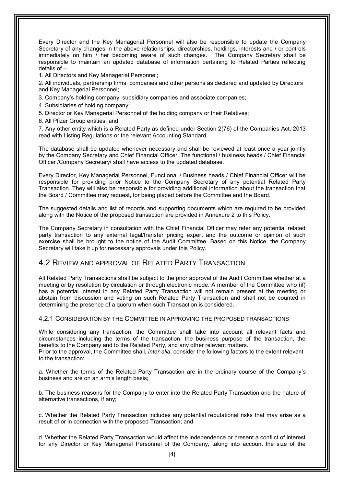Every Director and the Key Managerial Personnel will also be responsible to update the Company Secretary of any changes in the above relationships, directorships, holdings, interests and / or controls immediately on him / her becoming aware of such changes. The Company Secretary shall be responsible to maintain an updated database of information pertaining to Related Parties reflecting details of –

1. All Directors and Key Managerial Personnel;

2. All individuals, partnership firms, companies and other persons as declared and updated by Directors and Key Managerial Personnel;

3. Company's holding company, subsidiary companies and associate companies;

4. Subsidiaries of holding company;

5. Director or Key Managerial Personnel of the holding company or their Relatives;

6. All Pfizer Group entities; and

7. Any other entity which is a Related Party as defined under Section 2(76) of the Companies Act, 2013 read with Listing Regulations or the relevant Accounting Standard.

The database shall be updated whenever necessary and shall be reviewed at least once a year jointly by the Company Secretary and Chief Financial Officer. The functional / business heads / Chief Financial Officer /Company Secretary/ shall have access to the updated database.

Every Director, Key Managerial Personnel, Functional / Business heads / Chief Financial Officer will be responsible for providing prior Notice to the Company Secretary of any potential Related Party Transaction. They will also be responsible for providing additional information about the transaction that the Board / Committee may request, for being placed before the Committee and the Board.

The suggested details and list of records and supporting documents which are required to be provided along with the Notice of the proposed transaction are provided in Annexure 2 to this Policy.

The Company Secretary in consultation with the Chief Financial Officer may refer any potential related party transaction to any external legal/transfer pricing expert and the outcome or opinion of such exercise shall be brought to the notice of the Audit Committee. Based on this Notice, the Company Secretary will take it up for necessary approvals under this Policy.

## 4.2 REVIEW AND APPROVAL OF RELATED PARTY TRANSACTION

All Related Party Transactions shall be subject to the prior approval of the Audit Committee whether at a meeting or by resolution by circulation or through electronic mode. A member of the Committee who (if) has a potential interest in any Related Party Transaction will not remain present at the meeting or abstain from discussion and voting on such Related Party Transaction and shall not be counted in determining the presence of a quorum when such Transaction is considered.

4.2.1 CONSIDERATION BY THE COMMITTEE IN APPROVING THE PROPOSED TRANSACTIONS

While considering any transaction, the Committee shall take into account all relevant facts and circumstances including the terms of the transaction, the business purpose of the transaction, the benefits to the Company and to the Related Party, and any other relevant matters.

Prior to the approval, the Committee shall, *inter-alia*, consider the following factors to the extent relevant to the transaction:

a. Whether the terms of the Related Party Transaction are in the ordinary course of the Company's business and are on an arm's length basis;

b. The business reasons for the Company to enter into the Related Party Transaction and the nature of alternative transactions, if any;

c. Whether the Related Party Transaction includes any potential reputational risks that may arise as a result of or in connection with the proposed Transaction; and

d. Whether the Related Party Transaction would affect the independence or present a conflict of interest for any Director or Key Managerial Personnel of the Company, taking into account the size of the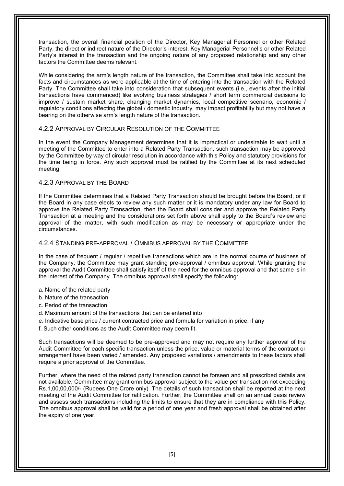transaction, the overall financial position of the Director, Key Managerial Personnel or other Related Party, the direct or indirect nature of the Director's interest, Key Managerial Personnel's or other Related Party's interest in the transaction and the ongoing nature of any proposed relationship and any other factors the Committee deems relevant.

While considering the arm's length nature of the transaction, the Committee shall take into account the facts and circumstances as were applicable at the time of entering into the transaction with the Related Party. The Committee shall take into consideration that subsequent events (i.e., events after the initial transactions have commenced) like evolving business strategies / short term commercial decisions to improve / sustain market share, changing market dynamics, local competitive scenario, economic / regulatory conditions affecting the global / domestic industry, may impact profitability but may not have a bearing on the otherwise arm's length nature of the transaction.

#### 4.2.2 APPROVAL BY CIRCULAR RESOLUTION OF THE COMMITTEE

In the event the Company Management determines that it is impractical or undesirable to wait until a meeting of the Committee to enter into a Related Party Transaction, such transaction may be approved by the Committee by way of circular resolution in accordance with this Policy and statutory provisions for the time being in force. Any such approval must be ratified by the Committee at its next scheduled meeting.

#### 4.2.3 APPROVAL BY THE BOARD

If the Committee determines that a Related Party Transaction should be brought before the Board, or if the Board in any case elects to review any such matter or it is mandatory under any law for Board to approve the Related Party Transaction, then the Board shall consider and approve the Related Party Transaction at a meeting and the considerations set forth above shall apply to the Board's review and approval of the matter, with such modification as may be necessary or appropriate under the circumstances.

#### 4.2.4 STANDING PRE-APPROVAL / OMNIBUS APPROVAL BY THE COMMITTEE

In the case of frequent / requiar / repetitive transactions which are in the normal course of business of the Company, the Committee may grant standing pre-approval / omnibus approval. While granting the approval the Audit Committee shall satisfy itself of the need for the omnibus approval and that same is in the interest of the Company. The omnibus approval shall specify the following:

- a. Name of the related party
- b. Nature of the transaction
- c. Period of the transaction
- d. Maximum amount of the transactions that can be entered into
- e. Indicative base price / current contracted price and formula for variation in price, if any
- f. Such other conditions as the Audit Committee may deem fit.

Such transactions will be deemed to be pre-approved and may not require any further approval of the Audit Committee for each specific transaction unless the price, value or material terms of the contract or arrangement have been varied / amended. Any proposed variations / amendments to these factors shall require a prior approval of the Committee.

Further, where the need of the related party transaction cannot be forseen and all prescribed details are not available, Committee may grant omnibus approval subject to the value per transaction not exceeding Rs.1,00,00,000/- (Rupees One Crore only). The details of such transaction shall be reported at the next meeting of the Audit Committee for ratification. Further, the Committee shall on an annual basis review and assess such transactions including the limits to ensure that they are in compliance with this Policy. The omnibus approval shall be valid for a period of one year and fresh approval shall be obtained after the expiry of one year.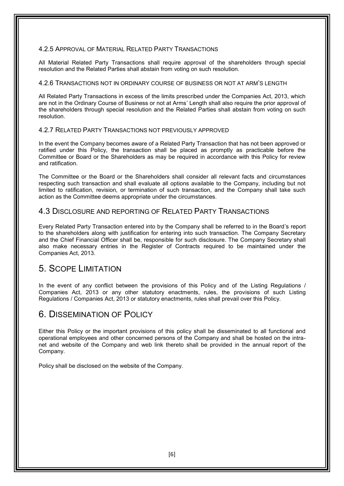#### 4.2.5 APPROVAL OF MATERIAL RELATED PARTY TRANSACTIONS

All Material Related Party Transactions shall require approval of the shareholders through special resolution and the Related Parties shall abstain from voting on such resolution.

#### 4.2.6 TRANSACTIONS NOT IN ORDINARY COURSE OF BUSINESS OR NOT AT ARM'S LENGTH

All Related Party Transactions in excess of the limits prescribed under the Companies Act, 2013, which are not in the Ordinary Course of Business or not at Arms' Length shall also require the prior approval of the shareholders through special resolution and the Related Parties shall abstain from voting on such resolution.

#### 4.2.7 RELATED PARTY TRANSACTIONS NOT PREVIOUSLY APPROVED

In the event the Company becomes aware of a Related Party Transaction that has not been approved or ratified under this Policy, the transaction shall be placed as promptly as practicable before the Committee or Board or the Shareholders as may be required in accordance with this Policy for review and ratification.

The Committee or the Board or the Shareholders shall consider all relevant facts and circumstances respecting such transaction and shall evaluate all options available to the Company, including but not limited to ratification, revision, or termination of such transaction, and the Company shall take such action as the Committee deems appropriate under the circumstances.

### 4.3 DISCLOSURE AND REPORTING OF RELATED PARTY TRANSACTIONS

Every Related Party Transaction entered into by the Company shall be referred to in the Board's report to the shareholders along with justification for entering into such transaction. The Company Secretary and the Chief Financial Officer shall be, responsible for such disclosure. The Company Secretary shall also make necessary entries in the Register of Contracts required to be maintained under the Companies Act, 2013.

## 5. SCOPE LIMITATION

In the event of any conflict between the provisions of this Policy and of the Listing Regulations / Companies Act, 2013 or any other statutory enactments, rules, the provisions of such Listing Regulations / Companies Act, 2013 or statutory enactments, rules shall prevail over this Policy.

## 6. DISSEMINATION OF POLICY

Either this Policy or the important provisions of this policy shall be disseminated to all functional and operational employees and other concerned persons of the Company and shall be hosted on the intranet and website of the Company and web link thereto shall be provided in the annual report of the Company.

Policy shall be disclosed on the website of the Company.